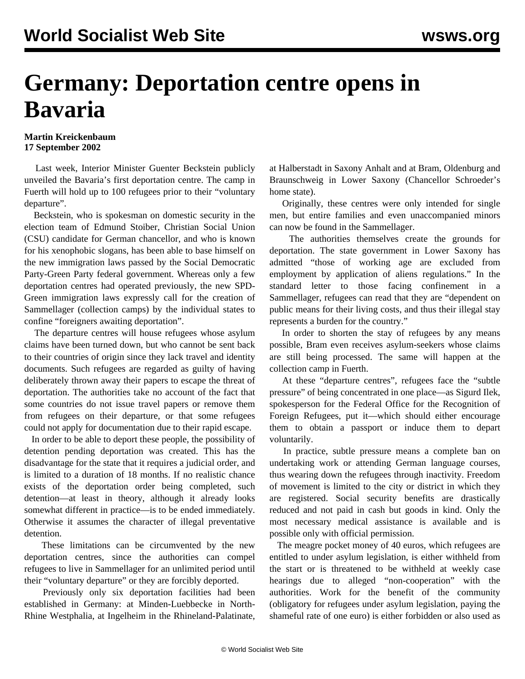## **Germany: Deportation centre opens in Bavaria**

## **Martin Kreickenbaum 17 September 2002**

 Last week, Interior Minister Guenter Beckstein publicly unveiled the Bavaria's first deportation centre. The camp in Fuerth will hold up to 100 refugees prior to their "voluntary departure".

 Beckstein, who is spokesman on domestic security in the election team of Edmund Stoiber, Christian Social Union (CSU) candidate for German chancellor, and who is known for his xenophobic slogans, has been able to base himself on the new immigration laws passed by the Social Democratic Party-Green Party federal government. Whereas only a few deportation centres had operated previously, the new SPD-Green immigration laws expressly call for the creation of Sammellager (collection camps) by the individual states to confine "foreigners awaiting deportation".

 The departure centres will house refugees whose asylum claims have been turned down, but who cannot be sent back to their countries of origin since they lack travel and identity documents. Such refugees are regarded as guilty of having deliberately thrown away their papers to escape the threat of deportation. The authorities take no account of the fact that some countries do not issue travel papers or remove them from refugees on their departure, or that some refugees could not apply for documentation due to their rapid escape.

 In order to be able to deport these people, the possibility of detention pending deportation was created. This has the disadvantage for the state that it requires a judicial order, and is limited to a duration of 18 months. If no realistic chance exists of the deportation order being completed, such detention—at least in theory, although it already looks somewhat different in practice—is to be ended immediately. Otherwise it assumes the character of illegal preventative detention.

 These limitations can be circumvented by the new deportation centres, since the authorities can compel refugees to live in Sammellager for an unlimited period until their "voluntary departure" or they are forcibly deported.

 Previously only six deportation facilities had been established in Germany: at Minden-Luebbecke in North-Rhine Westphalia, at Ingelheim in the Rhineland-Palatinate, at Halberstadt in Saxony Anhalt and at Bram, Oldenburg and Braunschweig in Lower Saxony (Chancellor Schroeder's home state).

 Originally, these centres were only intended for single men, but entire families and even unaccompanied minors can now be found in the Sammellager.

 The authorities themselves create the grounds for deportation. The state government in Lower Saxony has admitted "those of working age are excluded from employment by application of aliens regulations." In the standard letter to those facing confinement in a Sammellager, refugees can read that they are "dependent on public means for their living costs, and thus their illegal stay represents a burden for the country."

 In order to shorten the stay of refugees by any means possible, Bram even receives asylum-seekers whose claims are still being processed. The same will happen at the collection camp in Fuerth.

 At these "departure centres", refugees face the "subtle pressure" of being concentrated in one place—as Sigurd Ilek, spokesperson for the Federal Office for the Recognition of Foreign Refugees, put it—which should either encourage them to obtain a passport or induce them to depart voluntarily.

 In practice, subtle pressure means a complete ban on undertaking work or attending German language courses, thus wearing down the refugees through inactivity. Freedom of movement is limited to the city or district in which they are registered. Social security benefits are drastically reduced and not paid in cash but goods in kind. Only the most necessary medical assistance is available and is possible only with official permission.

 The meagre pocket money of 40 euros, which refugees are entitled to under asylum legislation, is either withheld from the start or is threatened to be withheld at weekly case hearings due to alleged "non-cooperation" with the authorities. Work for the benefit of the community (obligatory for refugees under asylum legislation, paying the shameful rate of one euro) is either forbidden or also used as